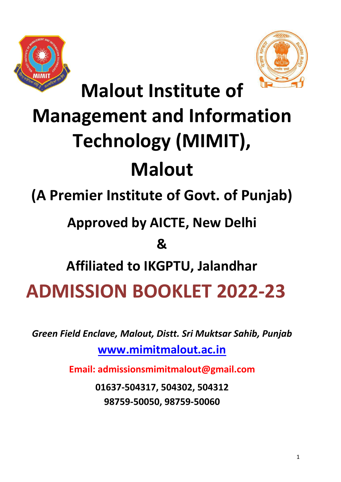



**Malout Institute of** 

# **Management and Information Technology (MIMIT), Malout**

**(A Premier Institute of Govt. of Punjab)**

# **Approved by AICTE, New Delhi**

## **&**

**Affiliated to IKGPTU, Jalandhar**

**ADMISSION BOOKLET 2022-23**

*Green Field Enclave, Malout, Distt. Sri Muktsar Sahib, Punjab* 

**[www.mimitmalout.ac.in](http://www.mimitmalout.ac.in/)**

**Email: admissionsmimitmalout@gmail.com**

**01637-504317, 504302, 504312 98759-50050, 98759-50060**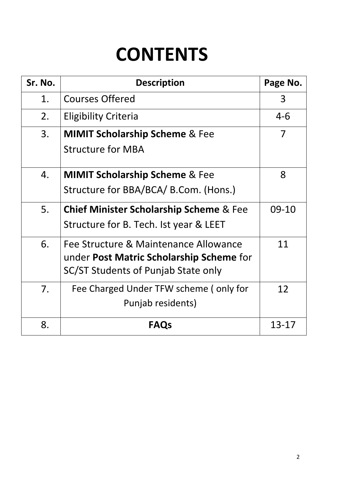# **CONTENTS**

| Sr. No. | <b>Description</b>                                 | Page No.  |
|---------|----------------------------------------------------|-----------|
| 1.      | <b>Courses Offered</b>                             | 3         |
| 2.      | <b>Eligibility Criteria</b>                        | $4 - 6$   |
| 3.      | <b>MIMIT Scholarship Scheme &amp; Fee</b>          | 7         |
|         | <b>Structure for MBA</b>                           |           |
| 4.      | <b>MIMIT Scholarship Scheme &amp; Fee</b>          | 8         |
|         | Structure for BBA/BCA/ B.Com. (Hons.)              |           |
| 5.      | <b>Chief Minister Scholarship Scheme &amp; Fee</b> | 09-10     |
|         | Structure for B. Tech. Ist year & LEET             |           |
| 6.      | Fee Structure & Maintenance Allowance              | 11        |
|         | under <b>Post Matric Scholarship Scheme</b> for    |           |
|         | SC/ST Students of Punjab State only                |           |
| 7.      | Fee Charged Under TFW scheme (only for             | 12        |
|         | Punjab residents)                                  |           |
| 8.      | <b>FAQs</b>                                        | $13 - 17$ |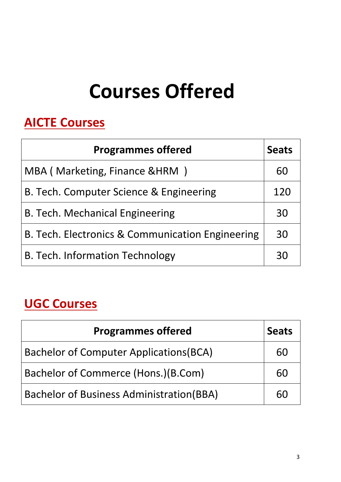# **Courses Offered**

## **AICTE Courses**

| <b>Programmes offered</b>                        | <b>Seats</b> |
|--------------------------------------------------|--------------|
| MBA (Marketing, Finance & HRM)                   | 60           |
| B. Tech. Computer Science & Engineering          | 120          |
| <b>B. Tech. Mechanical Engineering</b>           | 30           |
| B. Tech. Electronics & Communication Engineering | 30           |
| <b>B. Tech. Information Technology</b>           | RΩ           |

## **UGC Courses**

| <b>Programmes offered</b>                       | <b>Seats</b> |
|-------------------------------------------------|--------------|
| <b>Bachelor of Computer Applications (BCA)</b>  | 60           |
| Bachelor of Commerce (Hons.)(B.Com)             | 60           |
| <b>Bachelor of Business Administration(BBA)</b> | 60           |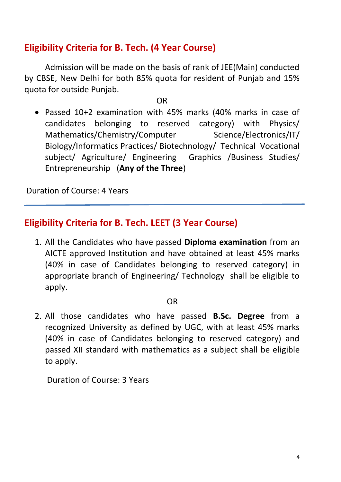## **Eligibility Criteria for B. Tech. (4 Year Course)**

Admission will be made on the basis of rank of JEE(Main) conducted by CBSE, New Delhi for both 85% quota for resident of Punjab and 15% quota for outside Punjab.

**OR** 

 Passed 10+2 examination with 45% marks (40% marks in case of candidates belonging to reserved category) with Physics/ Mathematics/Chemistry/Computer Science/Electronics/IT/ Biology/Informatics Practices/ Biotechnology/ Technical Vocational subject/ Agriculture/ Engineering Graphics /Business Studies/ Entrepreneurship (**Any of the Three**)

Duration of Course: 4 Years

## **Eligibility Criteria for B. Tech. LEET (3 Year Course)**

1. All the Candidates who have passed **Diploma examination** from an AICTE approved Institution and have obtained at least 45% marks (40% in case of Candidates belonging to reserved category) in appropriate branch of Engineering/ Technology shall be eligible to apply.

#### OR

2. All those candidates who have passed **B.Sc. Degree** from a recognized University as defined by UGC, with at least 45% marks (40% in case of Candidates belonging to reserved category) and passed XII standard with mathematics as a subject shall be eligible to apply.

Duration of Course: 3 Years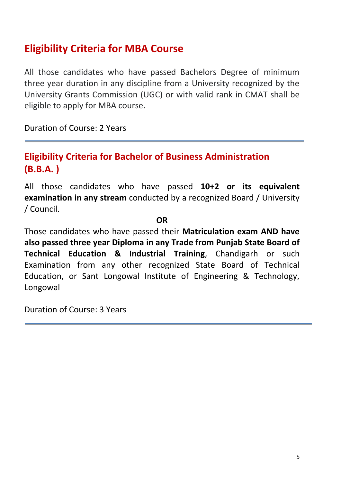## **Eligibility Criteria for MBA Course**

All those candidates who have passed Bachelors Degree of minimum three year duration in any discipline from a University recognized by the University Grants Commission (UGC) or with valid rank in CMAT shall be eligible to apply for MBA course.

Duration of Course: 2 Years

## **Eligibility Criteria for Bachelor of Business Administration (B.B.A. )**

All those candidates who have passed **10+2 or its equivalent examination in any stream** conducted by a recognized Board / University / Council.

**OR**

Those candidates who have passed their **Matriculation exam AND have also passed three year Diploma in any Trade from Punjab State Board of Technical Education & Industrial Training**, Chandigarh or such Examination from any other recognized State Board of Technical Education, or Sant Longowal Institute of Engineering & Technology, Longowal

Duration of Course: 3 Years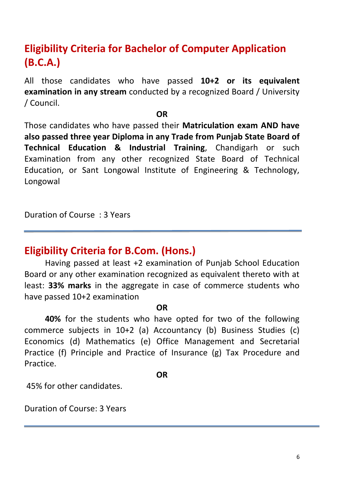## **Eligibility Criteria for Bachelor of Computer Application (B.C.A.)**

All those candidates who have passed **10+2 or its equivalent examination in any stream** conducted by a recognized Board / University / Council.

#### **OR**

Those candidates who have passed their **Matriculation exam AND have also passed three year Diploma in any Trade from Punjab State Board of Technical Education & Industrial Training**, Chandigarh or such Examination from any other recognized State Board of Technical Education, or Sant Longowal Institute of Engineering & Technology, Longowal

Duration of Course : 3 Years

## **Eligibility Criteria for B.Com. (Hons.)**

Having passed at least +2 examination of Punjab School Education Board or any other examination recognized as equivalent thereto with at least: **33% marks** in the aggregate in case of commerce students who have passed 10+2 examination

#### **OR**

**40%** for the students who have opted for two of the following commerce subjects in 10+2 (a) Accountancy (b) Business Studies (c) Economics (d) Mathematics (e) Office Management and Secretarial Practice (f) Principle and Practice of Insurance (g) Tax Procedure and Practice.

#### **OR**

45% for other candidates.

Duration of Course: 3 Years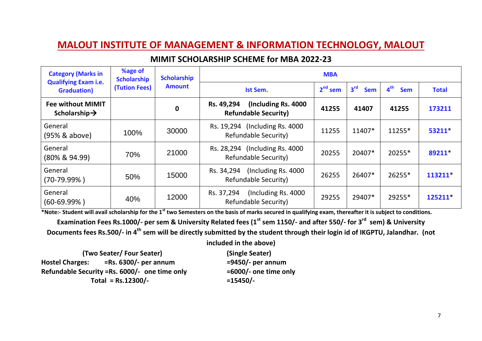#### **MIMIT SCHOLARSHIP SCHEME for MBA 2022-23**

| <b>Category (Marks in</b><br><b>Qualifying Exam i.e.</b> | %age of<br><b>Scholarship</b> | <b>Scholarship</b> | <b>MBA</b>                                                        |           |                               |                               |              |  |  |
|----------------------------------------------------------|-------------------------------|--------------------|-------------------------------------------------------------------|-----------|-------------------------------|-------------------------------|--------------|--|--|
| <b>Graduation</b> )                                      | (Tution Fees)                 | <b>Amount</b>      | <b>Ist Sem.</b>                                                   | $2nd$ sem | 3 <sup>rd</sup><br><b>Sem</b> | 4 <sup>th</sup><br><b>Sem</b> | <b>Total</b> |  |  |
| <b>Fee without MIMIT</b><br>Scholarship $\rightarrow$    |                               | 0                  | (Including Rs. 4000)<br>Rs. 49,294<br><b>Refundable Security)</b> | 41255     | 41407                         | 41255                         | 173211       |  |  |
| General<br>(95% & above)                                 | 100%                          | 30000              | (Including Rs. 4000)<br>Rs. 19,294<br><b>Refundable Security)</b> | 11255     | 11407*                        | 11255*                        | 53211*       |  |  |
| General<br>$(80\% \& 94.99)$                             | 70%                           | 21000              | Rs. 28,294 (Including Rs. 4000)<br><b>Refundable Security)</b>    | 20255     | 20407*                        | 20255*                        | 89211*       |  |  |
| General<br>$(70-79.99\%)$                                | 50%                           | 15000              | (Including Rs. 4000)<br>Rs. 34,294<br><b>Refundable Security)</b> | 26255     | 26407*                        | 26255*                        | 113211*      |  |  |
| General<br>$(60-69.99\%)$                                | 40%                           | 12000              | (Including Rs. 4000)<br>Rs. 37,294<br>Refundable Security)        | 29255     | 29407*                        | 29255*                        | 125211*      |  |  |

**\*Note:- Student will avail scholarship for the 1st two Semesters on the basis of marks secured in qualifying exam, thereafter it is subject to conditions.**

**Examination Fees Rs.1000/- per sem & University Related fees (1st sem 1150/- and after 550/- for 3rd sem) & University Documents fees Rs.500/- in 4th sem will be directly submitted by the student through their login id of IKGPTU, Jalandhar. (not** 

**included in the above)**

**(Two Seater/ Four Seater) (Single Seater) Hostel Charges: =Rs. 6300/- per annum =9450/- per annum Refundable Security =Rs. 6000/- one time only =6000/- one time only Total = Rs.12300/- =15450/-**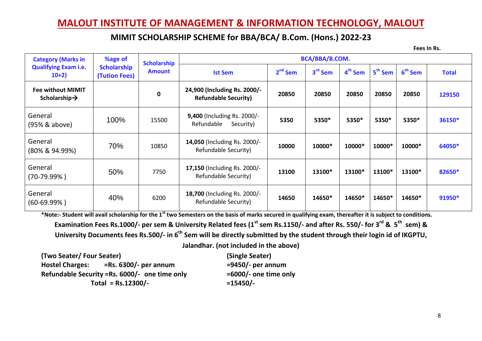#### **MIMIT SCHOLARSHIP SCHEME for BBA/BCA/ B.Com. (Hons.) 2022-23**

**Fees In Rs.**

| <b>Category (Marks in</b>                             | %age of                             | <b>Scholarship</b> |                                                             |           | BCA/BBA/B.COM.      |                     |                     |                     |              |
|-------------------------------------------------------|-------------------------------------|--------------------|-------------------------------------------------------------|-----------|---------------------|---------------------|---------------------|---------------------|--------------|
| <b>Qualifying Exam i.e.</b><br>$10+2)$                | <b>Scholarship</b><br>(Tution Fees) | <b>Amount</b>      | <b>Ist Sem</b>                                              | $2nd$ Sem | 3 <sup>rd</sup> Sem | 4 <sup>th</sup> Sem | 5 <sup>th</sup> Sem | 6 <sup>th</sup> Sem | <b>Total</b> |
| <b>Fee without MIMIT</b><br>Scholarship $\rightarrow$ |                                     | 0                  | 24,900 (Including Rs. 2000/-<br><b>Refundable Security)</b> | 20850     | 20850               | 20850               | 20850               | 20850               | 129150       |
| General<br>(95% & above)                              | 100%                                | 15500              | 9,400 (Including Rs. 2000/-<br>Refundable<br>Security)      | 5350      | 5350*               | 5350*               | 5350*               | 5350*               | 36150*       |
| General<br>(80% & 94.99%)                             | 70%                                 | 10850              | 14,050 (Including Rs. 2000/-<br>Refundable Security)        | 10000     | 10000*              | 10000*              | 10000*              | 10000*              | 64050*       |
| General<br>(70-79.99%)                                | 50%                                 | 7750               | <b>17,150</b> (Including Rs. 2000/-<br>Refundable Security) | 13100     | 13100*              | 13100*              | 13100*              | 13100*              | 82650*       |
| General<br>$(60-69.99%)$                              | 40%                                 | 6200               | 18,700 (Including Rs. 2000/-<br>Refundable Security)        | 14650     | 14650*              | 14650*              | 14650*              | 14650*              | 91950*       |

**\*Note:- Student will avail scholarship for the 1st two Semesters on the basis of marks secured in qualifying exam, thereafter it is subject to conditions. Examination Fees Rs.1000/- per sem & University Related fees (1st sem Rs.1150/- and after Rs. 550/- for 3rd & 5 th sem) &**  University Documents fees Rs.500/- in 6<sup>th</sup> Sem will be directly submitted by the student through their login id of IKGPTU, **Jalandhar. (not included in the above)**

**(Two Seater/ Four Seater) (Single Seater) Hostel Charges: =Rs. 6300/- per annum =9450/- per annum Refundable Security =Rs. 6000/- one time only =6000/- one time only Total = Rs.12300/- =15450/-**

8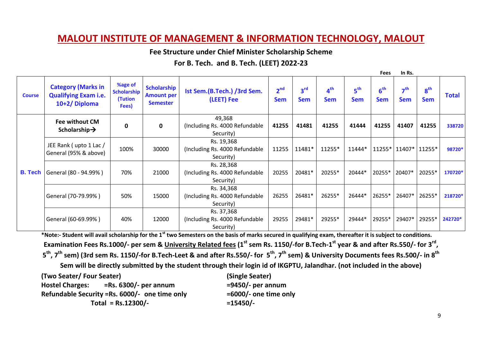**Fee Structure under Chief Minister Scholarship Scheme**

**For B. Tech. and B. Tech. (LEET) 2022-23**

|                |                                                                          |                                            |                                                            |                                                            |                               |                               |                               |                               | <b>Fees</b>                   | In Rs.                        |                               |              |
|----------------|--------------------------------------------------------------------------|--------------------------------------------|------------------------------------------------------------|------------------------------------------------------------|-------------------------------|-------------------------------|-------------------------------|-------------------------------|-------------------------------|-------------------------------|-------------------------------|--------------|
| <b>Course</b>  | <b>Category (Marks in</b><br><b>Qualifying Exam i.e.</b><br>10+2/Diploma | %age of<br>Scholarship<br>(Tution<br>Fees) | <b>Scholarship</b><br><b>Amount per</b><br><b>Semester</b> | Ist Sem.(B.Tech.) /3rd Sem.<br>(LEET) Fee                  | 2 <sup>nd</sup><br><b>Sem</b> | 3 <sup>rd</sup><br><b>Sem</b> | 4 <sup>th</sup><br><b>Sem</b> | 5 <sup>th</sup><br><b>Sem</b> | 6 <sup>th</sup><br><b>Sem</b> | 7 <sup>th</sup><br><b>Sem</b> | 8 <sup>th</sup><br><b>Sem</b> | <b>Total</b> |
|                | <b>Fee without CM</b><br>Scholarship $\rightarrow$                       | $\mathbf 0$                                | $\mathbf 0$                                                | 49,368<br>(Including Rs. 4000 Refundable<br>Security)      | 41255                         | 41481                         | 41255                         | 41444                         | 41255                         | 41407                         | 41255                         | 338720       |
|                | JEE Rank (upto 1 Lac /<br>General (95% & above)                          | 100%                                       | 30000                                                      | Rs. 19,368<br>(Including Rs. 4000 Refundable<br>Security)  | 11255                         | 11481*                        | 11255*                        | 11444*                        | 11255* 11407*                 |                               | 11255*                        | 98720*       |
| <b>B.</b> Tech | General (80 - 94.99%)                                                    | 70%                                        | 21000                                                      | Rs. 28,368<br>(Including Rs. 4000 Refundable<br>Security)  | 20255                         | 20481*                        | 20255*                        | 20444*                        | 20255*                        | 20407*                        | 20255*                        | 170720*      |
|                | General (70-79.99%)                                                      | 50%                                        | 15000                                                      | Rs. 34,368<br>(Including Rs. 4000 Refundable<br>Security)  | 26255                         | 26481*                        | 26255*                        | 26444*                        | 26255*                        | 26407*                        | 26255*                        | 218720*      |
|                | General (60-69.99%)                                                      | 40%                                        | 12000                                                      | Rs. 37,368<br>(Including Rs. 4000 Refundable)<br>Security) | 29255                         | 29481*                        | 29255*                        | 29444*                        | 29255*                        | 29407*                        | 29255*                        | 242720*      |

**\*Note:- Student will avail scholarship for the 1st two Semesters on the basis of marks secured in qualifying exam, thereafter it is subject to conditions. Examination Fees Rs.1000/- per sem & University Related fees (1st sem Rs. 1150/-for B.Tech-1 st year & and after Rs.550/- for 3rd ,**  5<sup>th</sup>, 7<sup>th</sup> sem) (3rd sem Rs. 1150/-for B.Tech-Leet & and after Rs.550/- for 5<sup>th</sup>, 7<sup>th</sup> sem) & University Documents fees Rs.500/- in 8<sup>th</sup>

**Sem will be directly submitted by the student through their login id of IKGPTU, Jalandhar. (not included in the above)**

**(Two Seater/ Four Seater) (Single Seater) Hostel Charges: =Rs. 6300/- per annum =9450/- per annum Refundable Security =Rs. 6000/- one time only =6000/- one time only Total = Rs.12300/- =15450/-**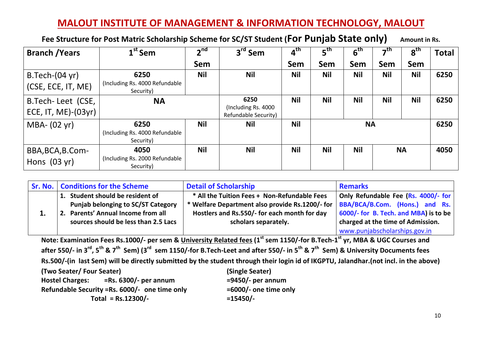**Fee Structure for Post Matric Scholarship Scheme for SC/ST Student (For Punjab State only) Amount in Rs.**

| <b>Branch / Years</b>                    | $1st$ Sem                                            | 2 <sup>nd</sup> | 3 <sup>rd</sup> Sem                                         | $4^{\text{th}}$ | $\mathsf{s}^{\mathsf{th}}$ | 6 <sup>th</sup> | –th        | 8 <sup>th</sup> | Total |
|------------------------------------------|------------------------------------------------------|-----------------|-------------------------------------------------------------|-----------------|----------------------------|-----------------|------------|-----------------|-------|
|                                          |                                                      | <b>Sem</b>      |                                                             | Sem             | Sem                        | <b>Sem</b>      | <b>Sem</b> | Sem             |       |
| $B.Tech-(04 yr)$<br>(CSE, ECE, IT, ME)   | 6250<br>(Including Rs. 4000 Refundable)<br>Security) | <b>Nil</b>      | <b>Nil</b>                                                  | <b>Nil</b>      | <b>Nil</b>                 | <b>Nil</b>      | <b>Nil</b> | <b>Nil</b>      | 6250  |
| B.Tech-Leet (CSE,<br>ECE, IT, ME)-(03yr) | <b>NA</b>                                            |                 | 6250<br>(Including Rs. 4000)<br><b>Refundable Security)</b> | <b>Nil</b>      | <b>Nil</b>                 | <b>Nil</b>      | <b>Nil</b> | <b>Nil</b>      | 6250  |
| MBA- (02 yr)                             | 6250<br>(Including Rs. 4000 Refundable)<br>Security) | <b>Nil</b>      | <b>Nil</b>                                                  | <b>Nil</b>      |                            | <b>NA</b>       |            |                 | 6250  |
| BBA, BCA, B.Com-<br>Hons $(03 yr)$       | 4050<br>(Including Rs. 2000 Refundable<br>Security)  | <b>Nil</b>      | <b>Nil</b>                                                  | <b>Nil</b>      | <b>Nil</b>                 | <b>Nil</b>      |            | <b>NA</b>       | 4050  |

|    | <b>Sr. No.   Conditions for the Scheme</b> | <b>Detail of Scholarship</b>                    | <b>Remarks</b>                        |
|----|--------------------------------------------|-------------------------------------------------|---------------------------------------|
|    | 1. Student should be resident of           | * All the Tuition Fees + Non-Refundable Fees    | Only Refundable Fee (Rs. 4000/- for   |
|    | <b>Punjab belonging to SC/ST Category</b>  | * Welfare Department also provide Rs.1200/- for | BBA/BCA/B.Com. (Hons.) and Rs.        |
| ∸. | 2. Parents' Annual Income from all         | Hostlers and Rs.550/- for each month for day    | 6000/- for B. Tech. and MBA) is to be |
|    | sources should be less than 2.5 Lacs       | scholars separately.                            | charged at the time of Admission.     |
|    |                                            |                                                 | www.punjabscholarships.gov.in         |

**Note: Examination Fees Rs.1000/- per sem & University Related fees (1st sem 1150/-for B.Tech-1 st yr, MBA & UGC Courses and**  after 550/- in 3<sup>rd</sup>, 5<sup>th</sup> & 7<sup>th</sup> Sem) (3<sup>rd</sup> sem 1150/-for B.Tech-Leet and after 550/- in 5<sup>th</sup> & 7<sup>th</sup> Sem) & University Documents fees **Rs.500/-(in last Sem) will be directly submitted by the student through their login id of IKGPTU, Jalandhar.(not incl. in the above)**

| (Two Seater/Four Seater)                           | (Single Seater)          |
|----------------------------------------------------|--------------------------|
| $=$ Rs. 6300/- per annum<br><b>Hostel Charges:</b> | $= 9450/-$ per annum     |
| Refundable Security = Rs. 6000/- one time only     | $=6000/$ - one time only |
| Total = $Rs.12300/-$                               | $= 15450/-$              |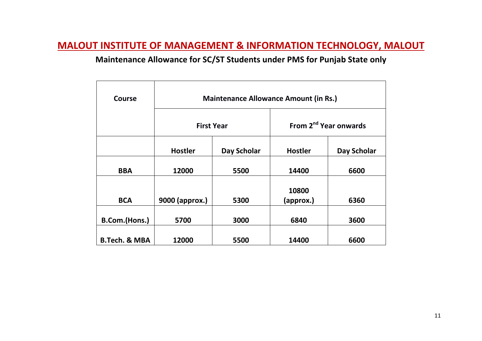### **Maintenance Allowance for SC/ST Students under PMS for Punjab State only**

| <b>Course</b>            | <b>Maintenance Allowance Amount (in Rs.)</b> |             |                |                                   |  |  |  |  |
|--------------------------|----------------------------------------------|-------------|----------------|-----------------------------------|--|--|--|--|
|                          | <b>First Year</b>                            |             |                | From 2 <sup>nd</sup> Year onwards |  |  |  |  |
|                          | <b>Hostler</b>                               | Day Scholar | <b>Hostler</b> | Day Scholar                       |  |  |  |  |
| <b>BBA</b>               | 12000                                        | 5500        | 14400          | 6600                              |  |  |  |  |
|                          |                                              |             | 10800          |                                   |  |  |  |  |
| <b>BCA</b>               | 9000 (approx.)                               | 5300        | (approx.)      | 6360                              |  |  |  |  |
| B.Com.(Hons.)            | 5700                                         | 3000        | 6840           | 3600                              |  |  |  |  |
| <b>B.Tech. &amp; MBA</b> | 12000                                        | 5500        | 14400          | 6600                              |  |  |  |  |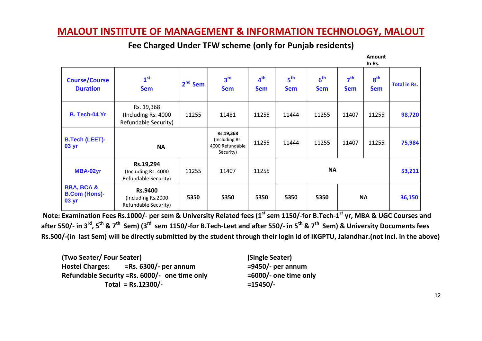|                                                        |                                                               |           |                                                             |                               |                               |                               |                               | <b>Amount</b><br>In Rs.       |                     |
|--------------------------------------------------------|---------------------------------------------------------------|-----------|-------------------------------------------------------------|-------------------------------|-------------------------------|-------------------------------|-------------------------------|-------------------------------|---------------------|
| <b>Course/Course</b><br><b>Duration</b>                | 1 <sup>st</sup><br><b>Sem</b>                                 | $2nd$ Sem | 3 <sup>rd</sup><br><b>Sem</b>                               | 4 <sup>th</sup><br><b>Sem</b> | 5 <sup>th</sup><br><b>Sem</b> | 6 <sup>th</sup><br><b>Sem</b> | 7 <sup>th</sup><br><b>Sem</b> | 8 <sup>th</sup><br><b>Sem</b> | <b>Total in Rs.</b> |
| B. Tech-04 Yr                                          | Rs. 19,368<br>(Including Rs. 4000)<br>Refundable Security)    | 11255     | 11481                                                       | 11255                         | 11444                         | 11255                         | 11407                         | 11255                         | 98,720              |
| <b>B.Tech (LEET)-</b><br>03 yr                         | <b>NA</b>                                                     |           | Rs.19,368<br>(Including Rs.<br>4000 Refundable<br>Security) | 11255                         | 11444                         | 11255                         | 11407                         | 11255                         | 75,984              |
| MBA-02yr                                               | Rs.19,294<br>(Including Rs. 4000)<br>Refundable Security)     | 11255     | 11407                                                       | 11255                         | <b>NA</b>                     |                               |                               | 53,211                        |                     |
| <b>BBA, BCA &amp;</b><br><b>B.Com (Hons)-</b><br>03 yr | <b>Rs.9400</b><br>(Including Rs.2000)<br>Refundable Security) | 5350      | 5350                                                        | 5350                          | 5350                          | 5350                          | <b>NA</b>                     |                               | 36,150              |

**Fee Charged Under TFW scheme (only for Punjab residents)** 

**Note: Examination Fees Rs.1000/- per sem & University Related fees (1st sem 1150/-for B.Tech-1 st yr, MBA & UGC Courses and**  after 550/- in 3<sup>rd</sup>, 5<sup>th</sup> & 7<sup>th</sup> Sem) (3<sup>rd</sup> sem 1150/-for B.Tech-Leet and after 550/- in 5<sup>th</sup> & 7<sup>th</sup> Sem) & University Documents fees **Rs.500/-(in last Sem) will be directly submitted by the student through their login id of IKGPTU, Jalandhar.(not incl. in the above)**

| (Two Seater/ Four Seater)                          | (Single Seater)       |
|----------------------------------------------------|-----------------------|
| $=$ Rs. 6300/- per annum<br><b>Hostel Charges:</b> | $= 9450$ /- per annum |
| Refundable Security = Rs. 6000/- one time only     | =6000/- one time o    |
| Total = $Rs.12300/-$                               | $= 15450/-$           |

**Refundan**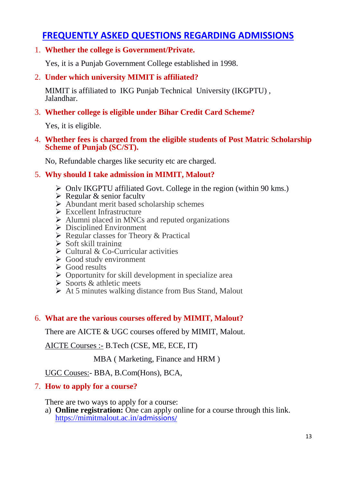## **FREQUENTLY ASKED QUESTIONS REGARDING ADMISSIONS**

#### 1. **Whether the college is Government/Private.**

Yes, it is a Punjab Government College established in 1998.

#### 2. **Under which university MIMIT is affiliated?**

MIMIT is affiliated to IKG Punjab Technical University (IKGPTU) , Jalandhar.

#### 3. **Whether college is eligible under Bihar Credit Card Scheme?**

Yes, it is eligible.

#### 4. **Whether fees is charged from the eligible students of Post Matric Scholarship Scheme of Punjab (SC/ST).**

No, Refundable charges like security etc are charged.

#### 5. **Why should I take admission in MIMIT, Malout?**

- $\triangleright$  Only IKGPTU affiliated Govt. College in the region (within 90 kms.)
- $\triangleright$  Regular & senior faculty
- Abundant merit based scholarship schemes
- Excellent Infrastructure
- $\triangleright$  Alumni placed in MNCs and reputed organizations
- $\triangleright$  Disciplined Environment
- $\triangleright$  Regular classes for Theory & Practical
- $\triangleright$  Soft skill training
- $\triangleright$  Cultural & Co-Curricular activities
- $\triangleright$  Good study environment
- $\triangleright$  Good results
- $\triangleright$  Opportunity for skill development in specialize area
- $\triangleright$  Sports & athletic meets
- $\triangleright$  At 5 minutes walking distance from Bus Stand, Malout

#### 6. **What are the various courses offered by MIMIT, Malout?**

There are AICTE & UGC courses offered by MIMIT, Malout.

AICTE Courses :- B.Tech (CSE, ME, ECE, IT)

MBA ( Marketing, Finance and HRM )

UGC Couses:- BBA, B.Com(Hons), BCA,

#### 7. **How to apply for a course?**

There are two ways to apply for a course:

a) **Online registration:** One can apply online for a course through this link. [https://mimitmalout.ac.in/](https://mimitmalout.ac.in/admissions/)admissions/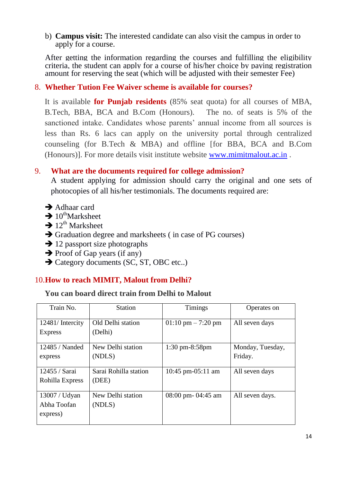b) **Campus visit:** The interested candidate can also visit the campus in order to apply for a course.

After getting the information regarding the courses and fulfilling the eligibility criteria, the student can apply for a course of his/her choice by paying registration amount for reserving the seat (which will be adjusted with their semester Fee)

#### 8. **Whether Tution Fee Waiver scheme is available for courses?**

It is available **for Punjab residents** (85% seat quota) for all courses of MBA, B.Tech, BBA, BCA and B.Com (Honours). The no. of seats is 5% of the sanctioned intake. Candidates whose parents' annual income from all sources is less than Rs. 6 lacs can apply on the university portal through centralized counseling (for B.Tech & MBA) and offline [for BBA, BCA and B.Com (Honours)]. For more details visit institute website [www.mimitmalout.ac.in](http://www.mimitmalout.ac.in/) .

#### 9. **What are the documents required for college admission?**

A student applying for admission should carry the original and one sets of photocopies of all his/her testimonials. The documents required are:

- **→** Adhaar card
- $\rightarrow 10^{th}$ Marksheet
- $\rightarrow$  12<sup>th</sup> Marksheet
- $\rightarrow$  Graduation degree and marksheets (in case of PG courses)
- $\rightarrow$  12 passport size photographs
- $\rightarrow$  Proof of Gap years (if any)
- **→ Category documents (SC, ST, OBC etc..)**

#### 10.**How to reach MIMIT, Malout from Delhi?**

#### **You can board direct train from Delhi to Malout**

| Train No.       | <b>Station</b>        | <b>Timings</b>                       | Operates on      |
|-----------------|-----------------------|--------------------------------------|------------------|
| 12481/Intercity | Old Delhi station     | $01:10 \text{ pm} - 7:20 \text{ pm}$ | All seven days   |
| <b>Express</b>  | (Delhi)               |                                      |                  |
| 12485 / Nanded  | New Delhi station     | $1:30 \text{ pm}-8:58 \text{pm}$     | Monday, Tuesday, |
| express         | (NDLS)                |                                      | Friday.          |
| 12455 / Sarai   | Sarai Rohilla station | 10:45 pm-05:11 am                    | All seven days   |
| Rohilla Express | (DEE)                 |                                      |                  |
| 13007 / Udyan   | New Delhi station     | 08:00 pm- 04:45 am                   | All seven days.  |
| Abha Toofan     | (NDLS)                |                                      |                  |
| express)        |                       |                                      |                  |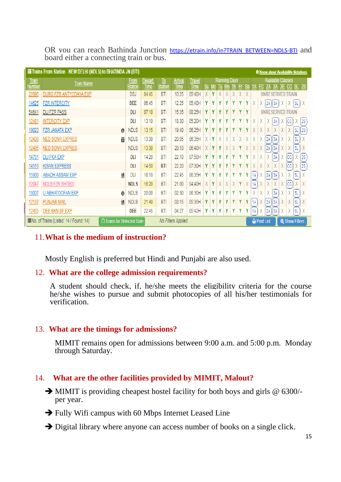OR you can reach Bathinda Junction [https://etrain.info/in?TRAIN\\_BETWEEN=NDLS-BTI](https://etrain.info/in?TRAIN_BETWEEN=NDLS-BTI) and board either a connecting train or bus.

| <b>IF</b> Trains From Station - NEW DELHI (NDLS) to BHATINDA JN (BTI)<br><b>O</b> Know about Availability Notations |                                     |             |                        |                      |                               |                              |                                       |   |   |   |                       |           |                                                                           |    |             |    |                  |                |             |
|---------------------------------------------------------------------------------------------------------------------|-------------------------------------|-------------|------------------------|----------------------|-------------------------------|------------------------------|---------------------------------------|---|---|---|-----------------------|-----------|---------------------------------------------------------------------------|----|-------------|----|------------------|----------------|-------------|
| <b>Train</b><br>Number                                                                                              | <b>Train Name</b>                   |             | Depart.<br><b>Time</b> | To<br><b>Station</b> | <b>Arrival</b><br><b>Time</b> | <b>Travel</b><br><b>Time</b> | <b>Running Days</b><br>Su Mo<br>Tu We |   |   |   | Fr                    | <b>Sa</b> | <b>Available Classes</b><br>CC <sub>SL2S</sub><br>FC<br>2A<br>3A 3E<br>1A |    |             |    |                  |                |             |
| 22895                                                                                                               | DURG FZR ANTYODAYA EXP              |             | 04:45                  | <b>BTI</b>           | 10:25                         | 05:40H                       | X                                     | Y | X | X | X                     | X         | X                                                                         |    |             |    | UNRESERVED TRAIN |                |             |
| 14625                                                                                                               | <b>FZR INTERCITY</b>                |             | 06:45                  | <b>BTI</b>           | 12:25                         | 05:40H                       | ٧                                     | γ | ۷ | ۷ | ۷                     | Y         | γ                                                                         |    | (2A )       | 3A | χ<br>χ           | (sl            |             |
| 54641                                                                                                               | <b>DLI FZR PASS</b>                 | DLI         | 07:10                  | <b>BTI</b>           | 15:35                         | 08:25H                       | Y                                     | Y | v | V | v                     |           | Y                                                                         |    |             |    |                  | TRAIN          |             |
| 12481                                                                                                               | <b>INTERCITY EXP</b>                | DLI         | 13:10                  | <b>BTI</b>           | 18:30                         | 05:20H                       | γ                                     | Υ | γ | γ | Υ                     | Y         | γ                                                                         |    | χ<br>X      | 3A | χ                | (cc)<br>χ      | $\sqrt{2S}$ |
| 19023                                                                                                               | <b>FZR JANATA EXP</b><br>$\theta$   | <b>NDLS</b> | 13:15                  | <b>BTI</b>           | 19:40                         | 06:25H                       | Y                                     | Y | v | v | v                     |           | ۷                                                                         | V  | X<br>V<br>Ā | X  | X<br>V           |                | ∫SL)(2S     |
| 12439                                                                                                               | <b>NED SGNR EXPRES</b><br>筒         | <b>NDLS</b> | 13:30                  | <b>BTI</b>           | 20:05                         | 06:35H                       | X                                     | Y |   | X | X                     |           |                                                                           |    | 2A          | 3A | X                | X<br>SL)       |             |
| 12485                                                                                                               | <b>NED SGNR EXPRES</b>              | <b>NDLS</b> | 13:30                  | <b>BTI</b>           | 20:10                         | 06:40H                       | X                                     | Y | ۷ |   | X                     | Y         | X                                                                         | X  | X<br>2A     | 3A | X                | X<br>SL        |             |
| 14731                                                                                                               | <b>DLI FKA EXP</b>                  | DLI         | 14:20                  | <b>BTI</b>           | 22:10                         | 07:50H                       | γ                                     | γ | ٧ |   | ۷                     |           | ٧                                                                         |    | X<br>X      | 3A | (cc<br>χ         |                | (2S         |
| 14519                                                                                                               | <b>KISAN EXPRESS</b>                | DLI         | 14:50                  | BTI                  | 22:20                         | 07:30H                       | Y                                     | Y | ٧ | γ | Y                     | Y         | Y                                                                         | V  | X<br>X      | X  | X<br>(cc         |                | (2S         |
| 15909                                                                                                               | <b>ABADH ASSAM EXP</b><br>۲I        | DLI         | 16:10                  | <b>BTI</b>           | 22:45                         | 06:35H                       | γ                                     | Y | ٧ | γ | Y                     | Y         | γ                                                                         | 1A | 2A          | 3A | X                | X<br><b>SL</b> |             |
| 12047                                                                                                               | <b>NDLS FZR SHTBDI</b>              | <b>NDLS</b> | 16:20                  | <b>BTI</b>           | 21:00                         | 04:40H                       | X                                     | Y | X | X | X                     | γ         |                                                                           | 1A | X           | X  | X<br>(cc         |                | X           |
| 13007                                                                                                               | <b>U ABHATOOFAN EXP</b><br>$\theta$ | <b>NDLS</b> | 20:00                  | <b>BTI</b>           | 02:30                         | 06:30H                       | ٧                                     | γ | ۷ | ۷ | γ                     | Υ         | γ                                                                         | X  | X<br>X      | 3A | X<br>χ           | 'SL            |             |
| 12137                                                                                                               | Ï۱<br><b>PUNJAB MAIL</b>            | <b>NDLS</b> | 21:40                  | <b>BTI</b>           | 03:15                         | 05:35H                       | Y                                     | Y | Y | Y | Y                     | Y         | γ                                                                         | 1A | 2A          | 3A | X                | X<br><b>SL</b> |             |
| 12455                                                                                                               | <b>DEE BKN SF EXP</b>               | DEE         | 22:45                  | BTI                  | 04:27                         | 05:42H                       | Y                                     | Y | Y | Y | Y                     | Y         | Υ                                                                         | 1A | 2A          | 3A | χ                | χ<br>'SL       |             |
| III No. of Trains (Listed: 14 / Found: 14)<br>No Filters Applied<br>□ Trains for Selected Date                      |                                     |             |                        |                      |                               | <b>A</b> Print List          |                                       |   |   |   | <b>Q</b> Show Filters |           |                                                                           |    |             |    |                  |                |             |

#### 11.**What is the medium of instruction?**

Mostly English is preferred but Hindi and Punjabi are also used.

#### 12. **What are the college admission requirements?**

A student should check, if, he/she meets the eligibility criteria for the course he/she wishes to pursue and submit photocopies of all his/her testimonials for verification.

#### 13. **What are the timings for admissions?**

MIMIT remains open for admissions between 9:00 a.m. and 5:00 p.m. Monday through Saturday.

#### 14. **What are the other facilities provided by MIMIT, Malout?**

- $\rightarrow$  MIMIT is providing cheapest hostel facility for both boys and girls @ 6300/per year.
- $\rightarrow$  Fully Wifi campus with 60 Mbps Internet Leased Line
- $\rightarrow$  Digital library where anyone can access number of books on a single click.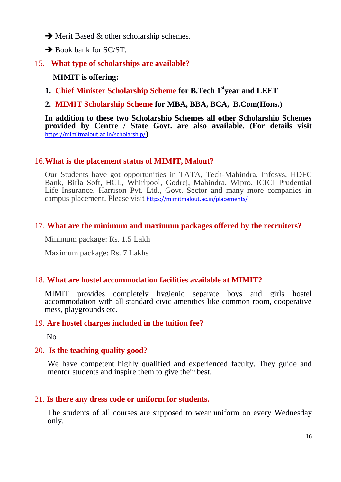- $\rightarrow$  Merit Based & other scholarship schemes.
- $\rightarrow$  Book bank for SC/ST.
- 15. **What type of scholarships are available?**

#### **MIMIT is offering:**

- **1. Chief Minister Scholarship Scheme for B.Tech 1styear and LEET**
- **2. MIMIT Scholarship Scheme for MBA, BBA, BCA, B.Com(Hons.)**

**In addition to these two Scholarship Schemes all other Scholarship Schemes provided by Centre / State Govt. are also available. (For details visit**  <https://mimitmalout.ac.in/scholarship/>**)**

#### 16.**What is the placement status of MIMIT, Malout?**

Our Students have got opportunities in TATA, Tech-Mahindra, Infosys, HDFC Bank, Birla Soft, HCL, Whirlpool, Godrej, Mahindra, Wipro, ICICI Prudential Life Insurance, Harrison Pvt. Ltd., Govt. Sector and many more companies in campus placement. Please visit <https://mimitmalout.ac.in/placements/>

#### 17. **What are the minimum and maximum packages offered by the recruiters?**

Minimum package: Rs. 1.5 Lakh

Maximum package: Rs. 7 Lakhs

#### 18. **What are hostel accommodation facilities available at MIMIT?**

MIMIT provides completely hygienic separate boys and girls hostel accommodation with all standard civic amenities like common room, cooperative mess, playgrounds etc.

#### 19. **Are hostel charges included in the tuition fee?**

No

#### 20. **Is the teaching quality good?**

We have competent highly qualified and experienced faculty. They guide and mentor students and inspire them to give their best.

#### 21. **Is there any dress code or uniform for students.**

The students of all courses are supposed to wear uniform on every Wednesday only.